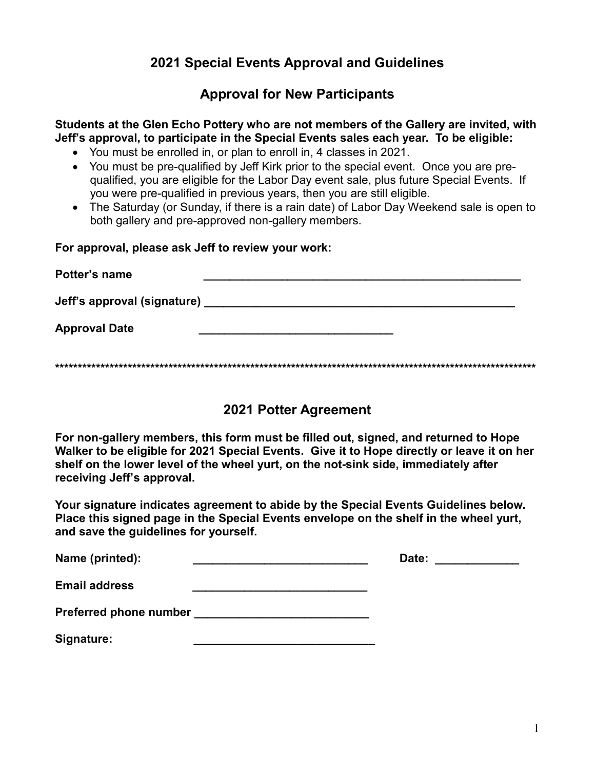# **2021 Special Events Approval and Guidelines**

## **Approval for New Participants**

**Students at the Glen Echo Pottery who are not members of the Gallery are invited, with Jeff's approval, to participate in the Special Events sales each year. To be eligible:**

- You must be enrolled in, or plan to enroll in, 4 classes in 2021.
- You must be pre-qualified by Jeff Kirk prior to the special event. Once you are prequalified, you are eligible for the Labor Day event sale, plus future Special Events. If you were pre-qualified in previous years, then you are still eligible.
- The Saturday (or Sunday, if there is a rain date) of Labor Day Weekend sale is open to both gallery and pre-approved non-gallery members.

**For approval, please ask Jeff to review your work:**

| Potter's name               |  |
|-----------------------------|--|
| Jeff's approval (signature) |  |
| <b>Approval Date</b>        |  |
|                             |  |

### **2021 Potter Agreement**

**For non-gallery members, this form must be filled out, signed, and returned to Hope Walker to be eligible for 2021 Special Events. Give it to Hope directly or leave it on her shelf on the lower level of the wheel yurt, on the not-sink side, immediately after receiving Jeff's approval.**

**Your signature indicates agreement to abide by the Special Events Guidelines below. Place this signed page in the Special Events envelope on the shelf in the wheel yurt, and save the guidelines for yourself.**

| Name (printed):               | Date: |
|-------------------------------|-------|
| <b>Email address</b>          |       |
| <b>Preferred phone number</b> |       |
| Signature:                    |       |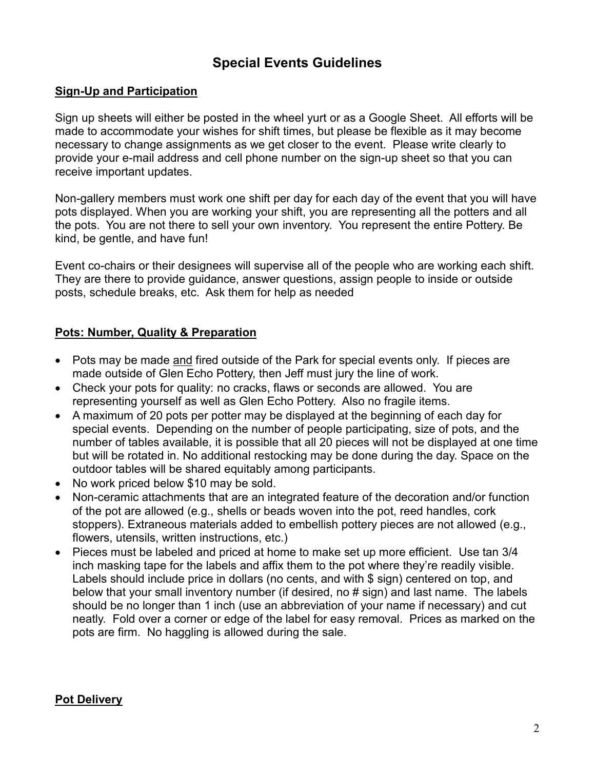# **Special Events Guidelines**

#### **Sign-Up and Participation**

Sign up sheets will either be posted in the wheel yurt or as a Google Sheet. All efforts will be made to accommodate your wishes for shift times, but please be flexible as it may become necessary to change assignments as we get closer to the event. Please write clearly to provide your e-mail address and cell phone number on the sign-up sheet so that you can receive important updates.

Non-gallery members must work one shift per day for each day of the event that you will have pots displayed. When you are working your shift, you are representing all the potters and all the pots. You are not there to sell your own inventory. You represent the entire Pottery. Be kind, be gentle, and have fun!

Event co-chairs or their designees will supervise all of the people who are working each shift. They are there to provide guidance, answer questions, assign people to inside or outside posts, schedule breaks, etc. Ask them for help as needed

#### **Pots: Number, Quality & Preparation**

- Pots may be made and fired outside of the Park for special events only. If pieces are made outside of Glen Echo Pottery, then Jeff must jury the line of work.
- Check your pots for quality: no cracks, flaws or seconds are allowed. You are representing yourself as well as Glen Echo Pottery. Also no fragile items.
- A maximum of 20 pots per potter may be displayed at the beginning of each day for special events. Depending on the number of people participating, size of pots, and the number of tables available, it is possible that all 20 pieces will not be displayed at one time but will be rotated in. No additional restocking may be done during the day. Space on the outdoor tables will be shared equitably among participants.
- No work priced below \$10 may be sold.
- Non-ceramic attachments that are an integrated feature of the decoration and/or function of the pot are allowed (e.g., shells or beads woven into the pot, reed handles, cork stoppers). Extraneous materials added to embellish pottery pieces are not allowed (e.g., flowers, utensils, written instructions, etc.)
- Pieces must be labeled and priced at home to make set up more efficient. Use tan 3/4 inch masking tape for the labels and affix them to the pot where they're readily visible. Labels should include price in dollars (no cents, and with \$ sign) centered on top, and below that your small inventory number (if desired, no # sign) and last name. The labels should be no longer than 1 inch (use an abbreviation of your name if necessary) and cut neatly. Fold over a corner or edge of the label for easy removal. Prices as marked on the pots are firm. No haggling is allowed during the sale.

#### **Pot Delivery**